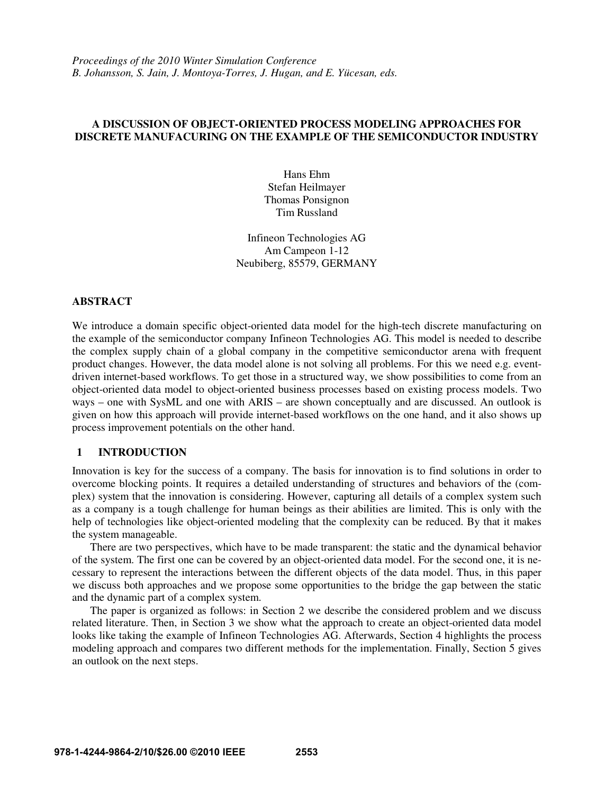# **A DISCUSSION OF OBJECT-ORIENTED PROCESS MODELING APPROACHES FOR DISCRETE MANUFACURING ON THE EXAMPLE OF THE SEMICONDUCTOR INDUSTRY**

Hans Ehm Stefan Heilmayer Thomas Ponsignon Tim Russland

Infineon Technologies AG Am Campeon 1-12 Neubiberg, 85579, GERMANY

#### **ABSTRACT**

We introduce a domain specific object-oriented data model for the high-tech discrete manufacturing on the example of the semiconductor company Infineon Technologies AG. This model is needed to describe the complex supply chain of a global company in the competitive semiconductor arena with frequent product changes. However, the data model alone is not solving all problems. For this we need e.g. eventdriven internet-based workflows. To get those in a structured way, we show possibilities to come from an object-oriented data model to object-oriented business processes based on existing process models. Two ways – one with SysML and one with ARIS – are shown conceptually and are discussed. An outlook is given on how this approach will provide internet-based workflows on the one hand, and it also shows up process improvement potentials on the other hand.

#### **1 INTRODUCTION**

Innovation is key for the success of a company. The basis for innovation is to find solutions in order to overcome blocking points. It requires a detailed understanding of structures and behaviors of the (complex) system that the innovation is considering. However, capturing all details of a complex system such as a company is a tough challenge for human beings as their abilities are limited. This is only with the help of technologies like object-oriented modeling that the complexity can be reduced. By that it makes the system manageable.

 There are two perspectives, which have to be made transparent: the static and the dynamical behavior of the system. The first one can be covered by an object-oriented data model. For the second one, it is necessary to represent the interactions between the different objects of the data model. Thus, in this paper we discuss both approaches and we propose some opportunities to the bridge the gap between the static and the dynamic part of a complex system.

 The paper is organized as follows: in Section 2 we describe the considered problem and we discuss related literature. Then, in Section 3 we show what the approach to create an object-oriented data model looks like taking the example of Infineon Technologies AG. Afterwards, Section 4 highlights the process modeling approach and compares two different methods for the implementation. Finally, Section 5 gives an outlook on the next steps.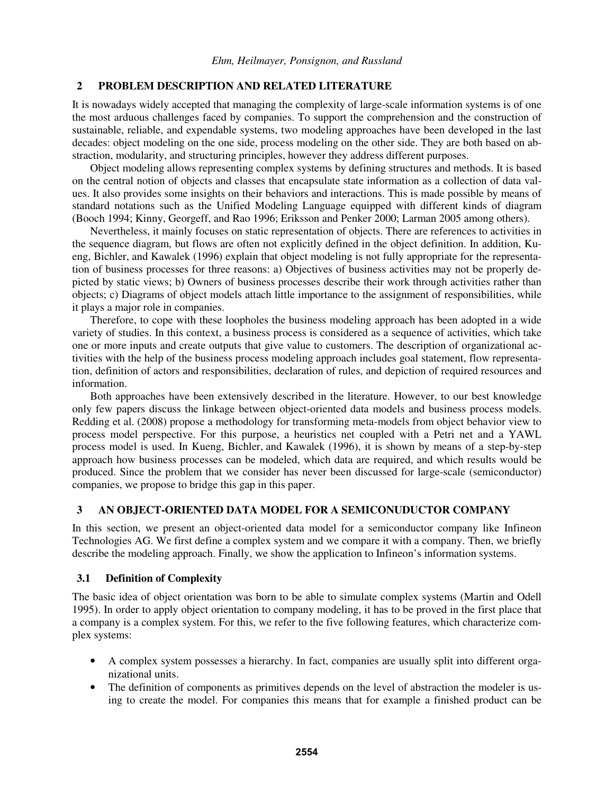### **2 PROBLEM DESCRIPTION AND RELATED LITERATURE**

It is nowadays widely accepted that managing the complexity of large-scale information systems is of one the most arduous challenges faced by companies. To support the comprehension and the construction of sustainable, reliable, and expendable systems, two modeling approaches have been developed in the last decades: object modeling on the one side, process modeling on the other side. They are both based on abstraction, modularity, and structuring principles, however they address different purposes.

 Object modeling allows representing complex systems by defining structures and methods. It is based on the central notion of objects and classes that encapsulate state information as a collection of data values. It also provides some insights on their behaviors and interactions. This is made possible by means of standard notations such as the Unified Modeling Language equipped with different kinds of diagram (Booch 1994; Kinny, Georgeff, and Rao 1996; Eriksson and Penker 2000; Larman 2005 among others).

 Nevertheless, it mainly focuses on static representation of objects. There are references to activities in the sequence diagram, but flows are often not explicitly defined in the object definition. In addition, Kueng, Bichler, and Kawalek (1996) explain that object modeling is not fully appropriate for the representation of business processes for three reasons: a) Objectives of business activities may not be properly depicted by static views; b) Owners of business processes describe their work through activities rather than objects; c) Diagrams of object models attach little importance to the assignment of responsibilities, while it plays a major role in companies.

 Therefore, to cope with these loopholes the business modeling approach has been adopted in a wide variety of studies. In this context, a business process is considered as a sequence of activities, which take one or more inputs and create outputs that give value to customers. The description of organizational activities with the help of the business process modeling approach includes goal statement, flow representation, definition of actors and responsibilities, declaration of rules, and depiction of required resources and information.

Both approaches have been extensively described in the literature. However, to our best knowledge only few papers discuss the linkage between object-oriented data models and business process models. Redding et al. (2008) propose a methodology for transforming meta-models from object behavior view to process model perspective. For this purpose, a heuristics net coupled with a Petri net and a YAWL process model is used. In Kueng, Bichler, and Kawalek (1996), it is shown by means of a step-by-step approach how business processes can be modeled, which data are required, and which results would be produced. Since the problem that we consider has never been discussed for large-scale (semiconductor) companies, we propose to bridge this gap in this paper.

### **3 AN OBJECT-ORIENTED DATA MODEL FOR A SEMICONUDUCTOR COMPANY**

In this section, we present an object-oriented data model for a semiconductor company like Infineon Technologies AG. We first define a complex system and we compare it with a company. Then, we briefly describe the modeling approach. Finally, we show the application to Infineon's information systems.

### **3.1 Definition of Complexity**

The basic idea of object orientation was born to be able to simulate complex systems (Martin and Odell 1995). In order to apply object orientation to company modeling, it has to be proved in the first place that a company is a complex system. For this, we refer to the five following features, which characterize complex systems:

- A complex system possesses a hierarchy. In fact, companies are usually split into different organizational units.
- The definition of components as primitives depends on the level of abstraction the modeler is using to create the model. For companies this means that for example a finished product can be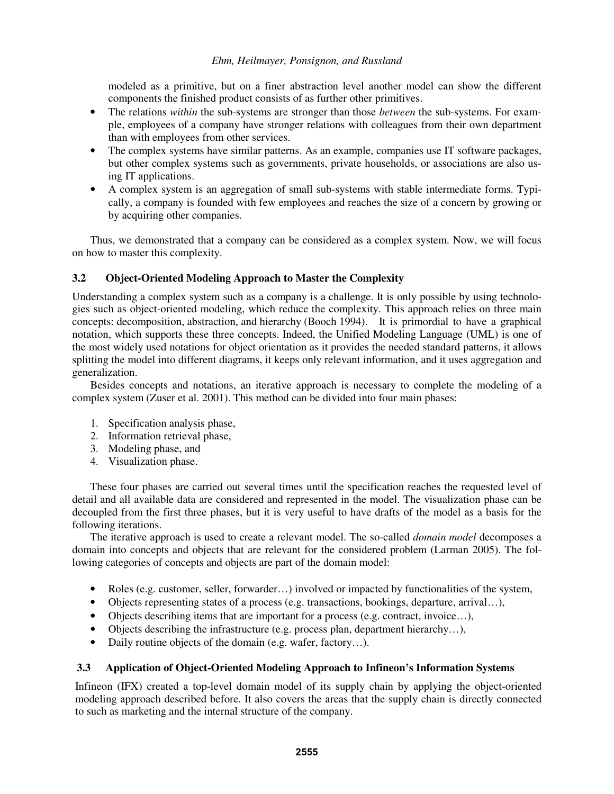modeled as a primitive, but on a finer abstraction level another model can show the different components the finished product consists of as further other primitives.

- The relations *within* the sub-systems are stronger than those *between* the sub-systems. For example, employees of a company have stronger relations with colleagues from their own department than with employees from other services.
- The complex systems have similar patterns. As an example, companies use IT software packages, but other complex systems such as governments, private households, or associations are also using IT applications.
- A complex system is an aggregation of small sub-systems with stable intermediate forms. Typically, a company is founded with few employees and reaches the size of a concern by growing or by acquiring other companies.

 Thus, we demonstrated that a company can be considered as a complex system. Now, we will focus on how to master this complexity.

# **3.2 Object-Oriented Modeling Approach to Master the Complexity**

Understanding a complex system such as a company is a challenge. It is only possible by using technologies such as object-oriented modeling, which reduce the complexity. This approach relies on three main concepts: decomposition, abstraction, and hierarchy (Booch 1994). It is primordial to have a graphical notation, which supports these three concepts. Indeed, the Unified Modeling Language (UML) is one of the most widely used notations for object orientation as it provides the needed standard patterns, it allows splitting the model into different diagrams, it keeps only relevant information, and it uses aggregation and generalization.

 Besides concepts and notations, an iterative approach is necessary to complete the modeling of a complex system (Zuser et al. 2001). This method can be divided into four main phases:

- 1. Specification analysis phase,
- 2. Information retrieval phase,
- 3. Modeling phase, and
- 4. Visualization phase.

 These four phases are carried out several times until the specification reaches the requested level of detail and all available data are considered and represented in the model. The visualization phase can be decoupled from the first three phases, but it is very useful to have drafts of the model as a basis for the following iterations.

 The iterative approach is used to create a relevant model. The so-called *domain model* decomposes a domain into concepts and objects that are relevant for the considered problem (Larman 2005). The following categories of concepts and objects are part of the domain model:

- Roles (e.g. customer, seller, forwarder…) involved or impacted by functionalities of the system,
- Objects representing states of a process (e.g. transactions, bookings, departure, arrival…),
- Objects describing items that are important for a process (e.g. contract, invoice...),
- Objects describing the infrastructure (e.g. process plan, department hierarchy...),
- Daily routine objects of the domain (e.g. wafer, factory...).

#### **3.3 Application of Object-Oriented Modeling Approach to Infineon's Information Systems**

Infineon (IFX) created a top-level domain model of its supply chain by applying the object-oriented modeling approach described before. It also covers the areas that the supply chain is directly connected to such as marketing and the internal structure of the company.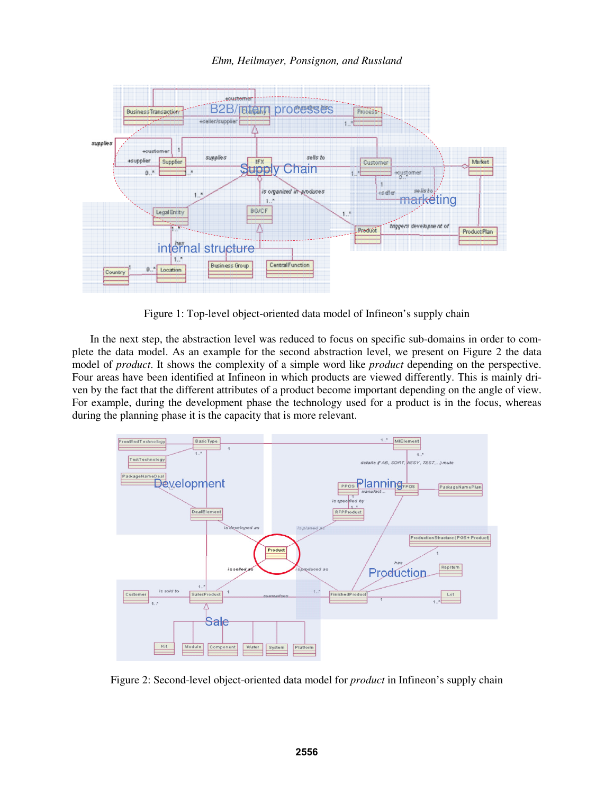

Figure 1: Top-level object-oriented data model of Infineon's supply chain

 In the next step, the abstraction level was reduced to focus on specific sub-domains in order to complete the data model. As an example for the second abstraction level, we present on Figure 2 the data model of *product*. It shows the complexity of a simple word like *product* depending on the perspective. Four areas have been identified at Infineon in which products are viewed differently. This is mainly driven by the fact that the different attributes of a product become important depending on the angle of view. For example, during the development phase the technology used for a product is in the focus, whereas during the planning phase it is the capacity that is more relevant.



Figure 2: Second-level object-oriented data model for *product* in Infineon's supply chain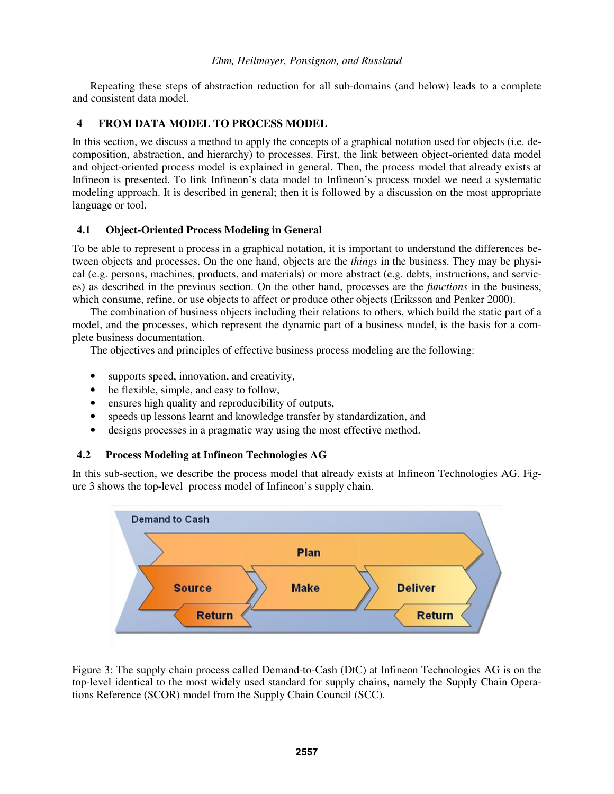Repeating these steps of abstraction reduction for all sub-domains (and below) leads to a complete and consistent data model.

## **4 FROM DATA MODEL TO PROCESS MODEL**

In this section, we discuss a method to apply the concepts of a graphical notation used for objects (i.e. decomposition, abstraction, and hierarchy) to processes. First, the link between object-oriented data model and object-oriented process model is explained in general. Then, the process model that already exists at Infineon is presented. To link Infineon's data model to Infineon's process model we need a systematic modeling approach. It is described in general; then it is followed by a discussion on the most appropriate language or tool.

### **4.1 Object-Oriented Process Modeling in General**

To be able to represent a process in a graphical notation, it is important to understand the differences between objects and processes. On the one hand, objects are the *things* in the business. They may be physical (e.g. persons, machines, products, and materials) or more abstract (e.g. debts, instructions, and services) as described in the previous section. On the other hand, processes are the *functions* in the business, which consume, refine, or use objects to affect or produce other objects (Eriksson and Penker 2000).

The combination of business objects including their relations to others, which build the static part of a model, and the processes, which represent the dynamic part of a business model, is the basis for a complete business documentation.

The objectives and principles of effective business process modeling are the following:

- supports speed, innovation, and creativity,
- be flexible, simple, and easy to follow,
- ensures high quality and reproducibility of outputs,
- speeds up lessons learnt and knowledge transfer by standardization, and
- designs processes in a pragmatic way using the most effective method.

# **4.2 Process Modeling at Infineon Technologies AG**

In this sub-section, we describe the process model that already exists at Infineon Technologies AG. Figure 3 shows the top-level process model of Infineon's supply chain.



Figure 3: The supply chain process called Demand-to-Cash (DtC) at Infineon Technologies AG is on the top-level identical to the most widely used standard for supply chains, namely the Supply Chain Operations Reference (SCOR) model from the Supply Chain Council (SCC).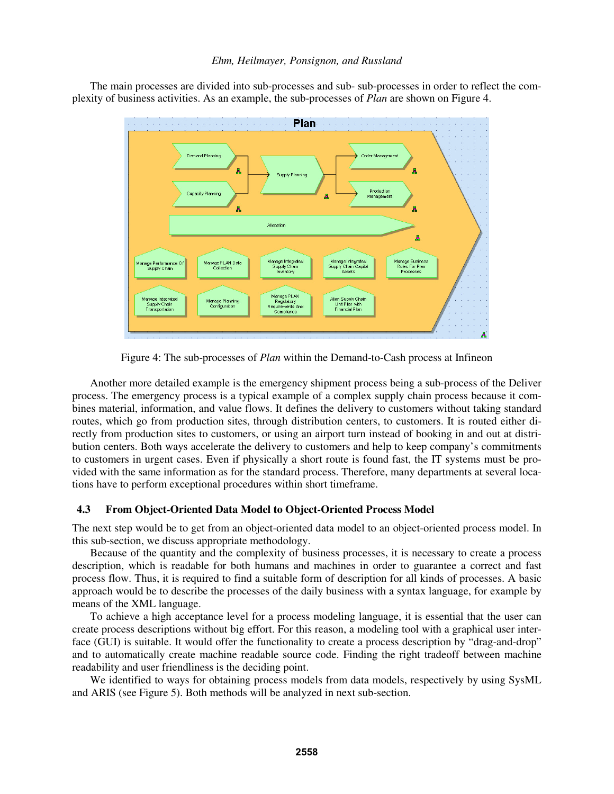The main processes are divided into sub-processes and sub- sub-processes in order to reflect the complexity of business activities. As an example, the sub-processes of *Plan* are shown on Figure 4.



Figure 4: The sub-processes of *Plan* within the Demand-to-Cash process at Infineon

 Another more detailed example is the emergency shipment process being a sub-process of the Deliver process. The emergency process is a typical example of a complex supply chain process because it combines material, information, and value flows. It defines the delivery to customers without taking standard routes, which go from production sites, through distribution centers, to customers. It is routed either directly from production sites to customers, or using an airport turn instead of booking in and out at distribution centers. Both ways accelerate the delivery to customers and help to keep company's commitments to customers in urgent cases. Even if physically a short route is found fast, the IT systems must be provided with the same information as for the standard process. Therefore, many departments at several locations have to perform exceptional procedures within short timeframe.

#### **4.3 From Object-Oriented Data Model to Object-Oriented Process Model**

The next step would be to get from an object-oriented data model to an object-oriented process model. In this sub-section, we discuss appropriate methodology.

 Because of the quantity and the complexity of business processes, it is necessary to create a process description, which is readable for both humans and machines in order to guarantee a correct and fast process flow. Thus, it is required to find a suitable form of description for all kinds of processes. A basic approach would be to describe the processes of the daily business with a syntax language, for example by means of the XML language.

 To achieve a high acceptance level for a process modeling language, it is essential that the user can create process descriptions without big effort. For this reason, a modeling tool with a graphical user interface (GUI) is suitable. It would offer the functionality to create a process description by "drag-and-drop" and to automatically create machine readable source code. Finding the right tradeoff between machine readability and user friendliness is the deciding point.

 We identified to ways for obtaining process models from data models, respectively by using SysML and ARIS (see Figure 5). Both methods will be analyzed in next sub-section.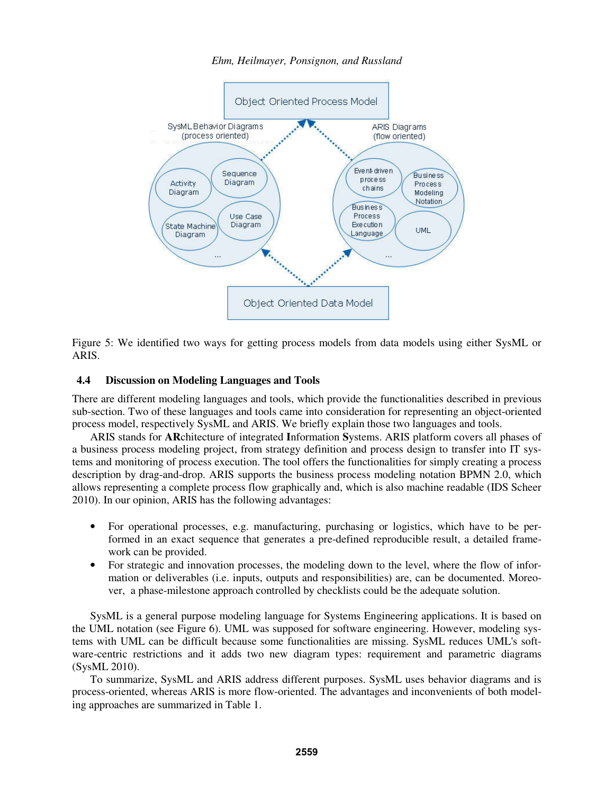

Figure 5: We identified two ways for getting process models from data models using either SysML or **ARIS** 

#### **4.4 Discussion on Modeling Languages and Tools**

There are different modeling languages and tools, which provide the functionalities described in previous sub-section. Two of these languages and tools came into consideration for representing an object-oriented process model, respectively SysML and ARIS. We briefly explain those two languages and tools.

 ARIS stands for **AR**chitecture of integrated **I**nformation **S**ystems. ARIS platform covers all phases of a business process modeling project, from strategy definition and process design to transfer into IT systems and monitoring of process execution. The tool offers the functionalities for simply creating a process description by drag-and-drop. ARIS supports the business process modeling notation BPMN 2.0, which allows representing a complete process flow graphically and, which is also machine readable (IDS Scheer 2010). In our opinion, ARIS has the following advantages:

- For operational processes, e.g. manufacturing, purchasing or logistics, which have to be performed in an exact sequence that generates a pre-defined reproducible result, a detailed framework can be provided.
- For strategic and innovation processes, the modeling down to the level, where the flow of information or deliverables (i.e. inputs, outputs and responsibilities) are, can be documented. Moreover, a phase-milestone approach controlled by checklists could be the adequate solution.

 SysML is a general purpose modeling language for Systems Engineering applications. It is based on the UML notation (see Figure 6). UML was supposed for software engineering. However, modeling systems with UML can be difficult because some functionalities are missing. SysML reduces UML's software-centric restrictions and it adds two new diagram types: requirement and parametric diagrams (SysML 2010).

 To summarize, SysML and ARIS address different purposes. SysML uses behavior diagrams and is process-oriented, whereas ARIS is more flow-oriented. The advantages and inconvenients of both modeling approaches are summarized in Table 1.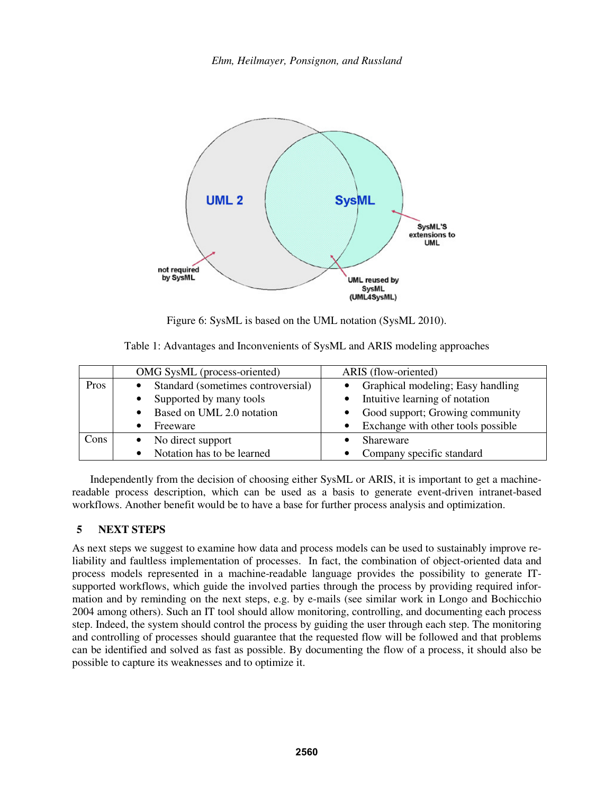

Figure 6: SysML is based on the UML notation (SysML 2010).

| Table 1: Advantages and Inconvenients of SysML and ARIS modeling approaches |  |  |  |
|-----------------------------------------------------------------------------|--|--|--|
|                                                                             |  |  |  |

|      | OMG SysML (process-oriented)                    | ARIS (flow-oriented)                 |  |
|------|-------------------------------------------------|--------------------------------------|--|
| Pros | Standard (sometimes controversial)<br>$\bullet$ | • Graphical modeling; Easy handling  |  |
|      | Supported by many tools                         | • Intuitive learning of notation     |  |
|      | Based on UML 2.0 notation<br>$\bullet$          | • Good support; Growing community    |  |
|      | Freeware<br>$\bullet$                           | • Exchange with other tools possible |  |
| Cons | No direct support<br>$\bullet$                  | Shareware                            |  |
|      | • Notation has to be learned                    | Company specific standard            |  |

 Independently from the decision of choosing either SysML or ARIS, it is important to get a machinereadable process description, which can be used as a basis to generate event-driven intranet-based workflows. Another benefit would be to have a base for further process analysis and optimization.

# **5 NEXT STEPS**

As next steps we suggest to examine how data and process models can be used to sustainably improve reliability and faultless implementation of processes. In fact, the combination of object-oriented data and process models represented in a machine-readable language provides the possibility to generate ITsupported workflows, which guide the involved parties through the process by providing required information and by reminding on the next steps, e.g. by e-mails (see similar work in Longo and Bochicchio 2004 among others). Such an IT tool should allow monitoring, controlling, and documenting each process step. Indeed, the system should control the process by guiding the user through each step. The monitoring and controlling of processes should guarantee that the requested flow will be followed and that problems can be identified and solved as fast as possible. By documenting the flow of a process, it should also be possible to capture its weaknesses and to optimize it.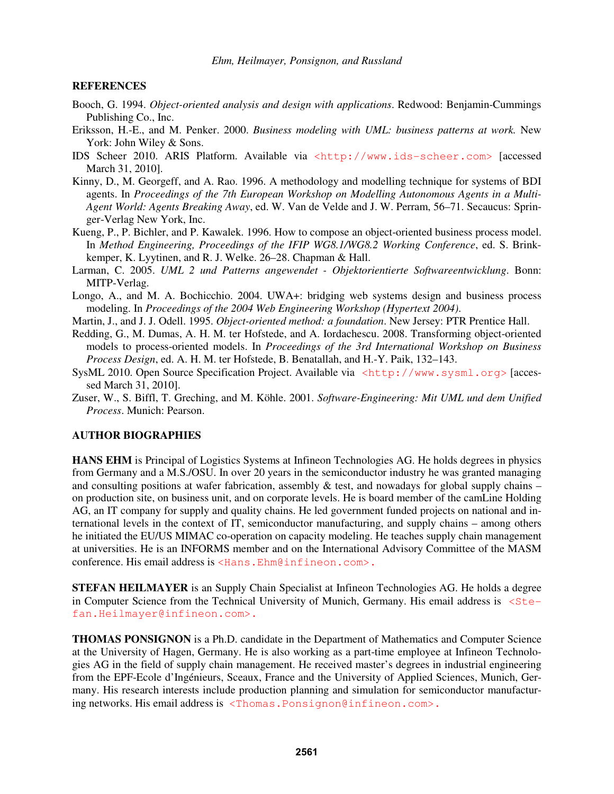#### **REFERENCES**

- Booch, G. 1994. *Object-oriented analysis and design with applications*. Redwood: Benjamin-Cummings Publishing Co., Inc.
- Eriksson, H.-E., and M. Penker. 2000. *Business modeling with UML: business patterns at work.* New York: John Wiley & Sons.
- IDS Scheer 2010. ARIS Platform. Available via <http://www.ids-scheer.com> [accessed March 31, 2010].
- Kinny, D., M. Georgeff, and A. Rao. 1996. A methodology and modelling technique for systems of BDI agents. In *Proceedings of the 7th European Workshop on Modelling Autonomous Agents in a Multi-Agent World: Agents Breaking Away*, ed. W. Van de Velde and J. W. Perram, 56–71. Secaucus: Springer-Verlag New York, Inc.
- Kueng, P., P. Bichler, and P. Kawalek. 1996. How to compose an object-oriented business process model. In *Method Engineering, Proceedings of the IFIP WG8.1/WG8.2 Working Conference*, ed. S. Brinkkemper, K. Lyytinen, and R. J. Welke. 26–28. Chapman & Hall.
- Larman, C. 2005. *UML 2 und Patterns angewendet Objektorientierte Softwareentwicklung*. Bonn: MITP-Verlag.
- Longo, A., and M. A. Bochicchio. 2004. UWA+: bridging web systems design and business process modeling. In *Proceedings of the 2004 Web Engineering Workshop (Hypertext 2004)*.
- Martin, J., and J. J. Odell. 1995. *Object-oriented method: a foundation*. New Jersey: PTR Prentice Hall.
- Redding, G., M. Dumas, A. H. M. ter Hofstede, and A. Iordachescu. 2008. Transforming object-oriented models to process-oriented models. In *Proceedings of the 3rd International Workshop on Business Process Design*, ed. A. H. M. ter Hofstede, B. Benatallah, and H.-Y. Paik, 132–143.
- SysML 2010. Open Source Specification Project. Available via <http://www.sysml.org> [accessed March 31, 2010].
- Zuser, W., S. Biffl, T. Greching, and M. Köhle. 2001. *Software-Engineering: Mit UML und dem Unified Process*. Munich: Pearson.

## **AUTHOR BIOGRAPHIES**

**HANS EHM** is Principal of Logistics Systems at Infineon Technologies AG. He holds degrees in physics from Germany and a M.S./OSU. In over 20 years in the semiconductor industry he was granted managing and consulting positions at wafer fabrication, assembly  $\&$  test, and nowadays for global supply chains – on production site, on business unit, and on corporate levels. He is board member of the camLine Holding AG, an IT company for supply and quality chains. He led government funded projects on national and international levels in the context of IT, semiconductor manufacturing, and supply chains – among others he initiated the EU/US MIMAC co-operation on capacity modeling. He teaches supply chain management at universities. He is an INFORMS member and on the International Advisory Committee of the MASM conference. His email address is <Hans.Ehm@infineon.com>.

**STEFAN HEILMAYER** is an Supply Chain Specialist at Infineon Technologies AG. He holds a degree in Computer Science from the Technical University of Munich, Germany. His email address is <Stefan.Heilmayer@infineon.com>.

**THOMAS PONSIGNON** is a Ph.D. candidate in the Department of Mathematics and Computer Science at the University of Hagen, Germany. He is also working as a part-time employee at Infineon Technologies AG in the field of supply chain management. He received master's degrees in industrial engineering from the EPF-Ecole d'Ingénieurs, Sceaux, France and the University of Applied Sciences, Munich, Germany. His research interests include production planning and simulation for semiconductor manufacturing networks. His email address is <Thomas.Ponsignon@infineon.com>.